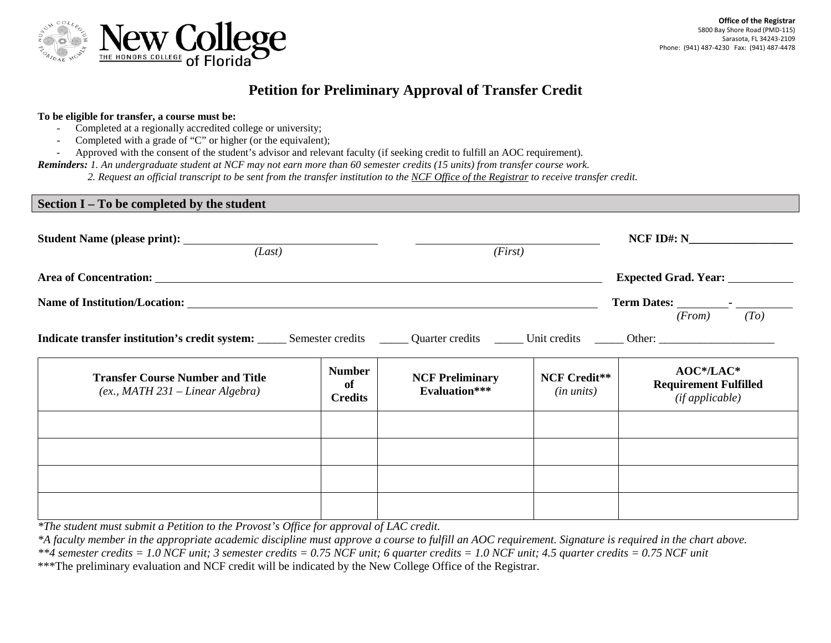

## **Petition for Preliminary Approval of Transfer Credit**

## **To be eligible for transfer, a course must be:**

- Completed at a regionally accredited college or university;
- Completed with a grade of "C" or higher (or the equivalent);
- Approved with the consent of the student's advisor and relevant faculty (if seeking credit to fulfill an AOC requirement).
- *Reminders: 1. An undergraduate student at NCF may not earn more than 60 semester credits (15 units) from transfer course work.*
	- *2. Request an official transcript to be sent from the transfer institution to the NCF Office of the Registrar to receive transfer credit.*

## **Section I – To be completed by the student**

| (Last)                                                                                                                                                                                                                                                                                      |                                       | (First)                                        |                                   | $NCF$ ID#: $N$                                                  |
|---------------------------------------------------------------------------------------------------------------------------------------------------------------------------------------------------------------------------------------------------------------------------------------------|---------------------------------------|------------------------------------------------|-----------------------------------|-----------------------------------------------------------------|
| Area of Concentration: Note that the set of Concentration:<br>Indicate transfer institution's credit system: Semester credits Cuarter credits Cuarter credits Cuarter credits Cuarter credits Cuarter credits Cuarter and Durit credits Cuarter and Durit credits Cuarter and Durit credits |                                       |                                                |                                   | Expected Grad. Year: ___________<br>$(From)$ $(To)$             |
| <b>Transfer Course Number and Title</b><br>$(ex., MATH 231 - Linear Algebra)$                                                                                                                                                                                                               | <b>Number</b><br>of<br><b>Credits</b> | <b>NCF Preliminary</b><br><b>Evaluation***</b> | <b>NCF Credit**</b><br>(in units) | $AOC* / LAC*$<br><b>Requirement Fulfilled</b><br>(ifappliedble) |
|                                                                                                                                                                                                                                                                                             |                                       |                                                |                                   |                                                                 |
|                                                                                                                                                                                                                                                                                             |                                       |                                                |                                   |                                                                 |

*\*The student must submit a Petition to the Provost's Office for approval of LAC credit.*

*\*A faculty member in the appropriate academic discipline must approve a course to fulfill an AOC requirement. Signature is required in the chart above.*

\*\*\*The preliminary evaluation and NCF credit will be indicated by the New College Office of the Registrar.